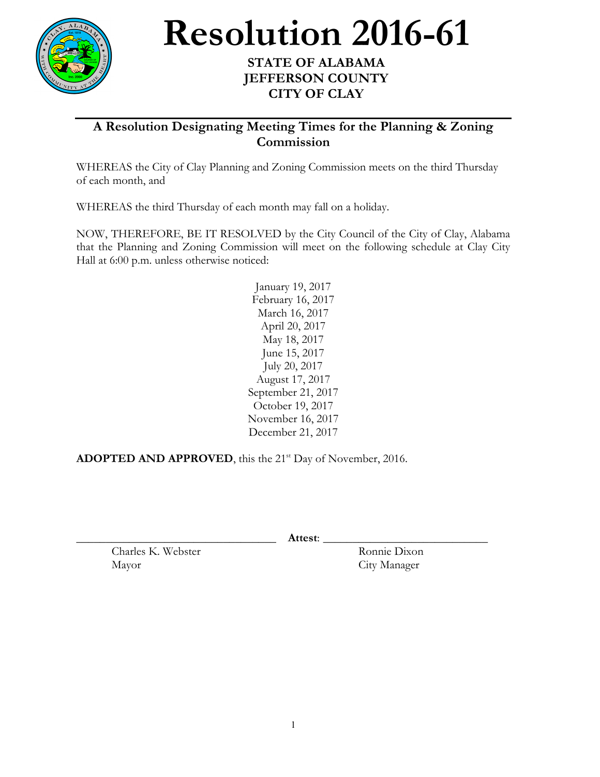

## **Resolution 2016-61** STATE OF ALABAMA

## **JEFFERSON COUNTY CITY OF CLAY**

## **A Resolution Designating Meeting Times for the Planning & Zoning Commission**

WHEREAS the City of Clay Planning and Zoning Commission meets on the third Thursday of each month, and

WHEREAS the third Thursday of each month may fall on a holiday.

NOW, THEREFORE, BE IT RESOLVED by the City Council of the City of Clay, Alabama that the Planning and Zoning Commission will meet on the following schedule at Clay City Hall at 6:00 p.m. unless otherwise noticed:

> January 19, 2017 February 16, 2017 March 16, 2017 April 20, 2017 May 18, 2017 June 15, 2017 July 20, 2017 August 17, 2017 September 21, 2017 October 19, 2017 November 16, 2017 December 21, 2017

ADOPTED AND APPROVED, this the 21<sup>st</sup> Day of November, 2016.

\_\_\_\_\_\_\_\_\_\_\_\_\_\_\_\_\_\_\_\_\_\_\_\_\_\_\_\_\_\_\_\_\_\_ **Attest**: \_\_\_\_\_\_\_\_\_\_\_\_\_\_\_\_\_\_\_\_\_\_\_\_\_\_\_\_

Charles K. Webster Ronnie Dixon Mayor City Manager